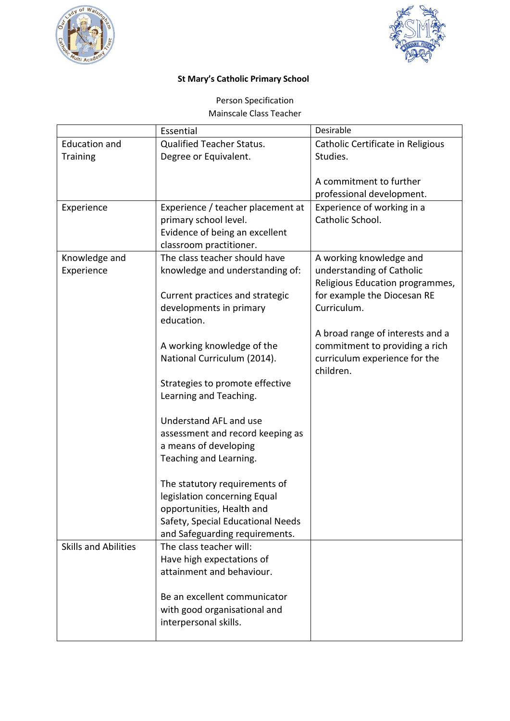



## **St Mary's Catholic Primary School**

## Person Specification

Mainscale Class Teacher

|                             | Essential                                                           | Desirable                         |
|-----------------------------|---------------------------------------------------------------------|-----------------------------------|
| <b>Education and</b>        | Qualified Teacher Status.                                           | Catholic Certificate in Religious |
| <b>Training</b>             | Degree or Equivalent.                                               | Studies.                          |
|                             |                                                                     |                                   |
|                             |                                                                     | A commitment to further           |
|                             |                                                                     | professional development.         |
| Experience                  | Experience / teacher placement at                                   | Experience of working in a        |
|                             | primary school level.                                               | Catholic School.                  |
|                             | Evidence of being an excellent                                      |                                   |
|                             | classroom practitioner.                                             |                                   |
| Knowledge and               | The class teacher should have                                       | A working knowledge and           |
| Experience                  | knowledge and understanding of:                                     | understanding of Catholic         |
|                             |                                                                     | Religious Education programmes,   |
|                             | Current practices and strategic                                     | for example the Diocesan RE       |
|                             | developments in primary                                             | Curriculum.                       |
|                             | education.                                                          |                                   |
|                             |                                                                     | A broad range of interests and a  |
|                             | A working knowledge of the                                          | commitment to providing a rich    |
|                             | National Curriculum (2014).                                         | curriculum experience for the     |
|                             |                                                                     | children.                         |
|                             | Strategies to promote effective                                     |                                   |
|                             | Learning and Teaching.                                              |                                   |
|                             |                                                                     |                                   |
|                             | Understand AFL and use                                              |                                   |
|                             | assessment and record keeping as                                    |                                   |
|                             | a means of developing                                               |                                   |
|                             | Teaching and Learning.                                              |                                   |
|                             |                                                                     |                                   |
|                             | The statutory requirements of                                       |                                   |
|                             | legislation concerning Equal                                        |                                   |
|                             | opportunities, Health and                                           |                                   |
|                             | Safety, Special Educational Needs<br>and Safeguarding requirements. |                                   |
| <b>Skills and Abilities</b> | The class teacher will:                                             |                                   |
|                             | Have high expectations of                                           |                                   |
|                             | attainment and behaviour.                                           |                                   |
|                             |                                                                     |                                   |
|                             | Be an excellent communicator                                        |                                   |
|                             | with good organisational and                                        |                                   |
|                             | interpersonal skills.                                               |                                   |
|                             |                                                                     |                                   |